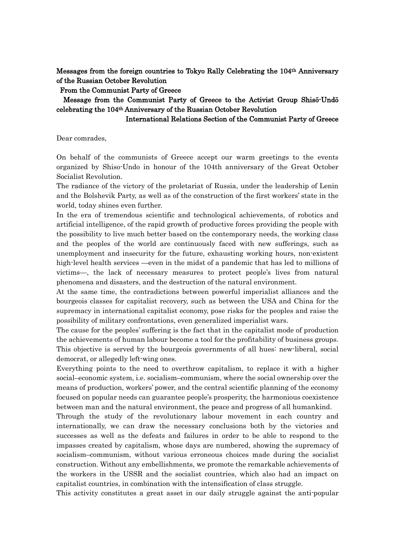Messages from the foreign countries to Tokyo Rally Celebrating the 104th Anniversary of the Russian October Revolution

## From the Communist Party of Greece

## Message from the Communist Party of Greece to the Activist Group Shisō-Undō celebrating the 104th Anniversary of the Russian October Revolution

## International Relations Section of the Communist Party of Greece

Dear comrades,

On behalf of the communists of Greece accept our warm greetings to the events organized by Shiso-Undo in honour of the 104th anniversary of the Great October Socialist Revolution.

The radiance of the victory of the proletariat of Russia, under the leadership of Lenin and the Bolshevik Party, as well as of the construction of the first workers' state in the world, today shines even further.

In the era of tremendous scientific and technological achievements, of robotics and artificial intelligence, of the rapid growth of productive forces providing the people with the possibility to live much better based on the contemporary needs, the working class and the peoples of the world are continuously faced with new sufferings, such as unemployment and insecurity for the future, exhausting working hours, non-existent high-level health services —even in the midst of a pandemic that has led to millions of victims—, the lack of necessary measures to protect people's lives from natural phenomena and disasters, and the destruction of the natural environment.

At the same time, the contradictions between powerful imperialist alliances and the bourgeois classes for capitalist recovery, such as between the USA and China for the supremacy in international capitalist economy, pose risks for the peoples and raise the possibility of military confrontations, even generalized imperialist wars.

The cause for the peoples' suffering is the fact that in the capitalist mode of production the achievements of human labour become a tool for the profitability of business groups. This objective is served by the bourgeois governments of all hues: new-liberal, social democrat, or allegedly left-wing ones.

Everything points to the need to overthrow capitalism, to replace it with a higher social–economic system, i.e. socialism–communism, where the social ownership over the means of production, workers' power, and the central scientific planning of the economy focused on popular needs can guarantee people's prosperity, the harmonious coexistence between man and the natural environment, the peace and progress of all humankind.

Through the study of the revolutionary labour movement in each country and internationally, we can draw the necessary conclusions both by the victories and successes as well as the defeats and failures in order to be able to respond to the impasses created by capitalism, whose days are numbered, showing the supremacy of socialism–communism, without various erroneous choices made during the socialist construction. Without any embellishments, we promote the remarkable achievements of the workers in the USSR and the socialist countries, which also had an impact on capitalist countries, in combination with the intensification of class struggle.

This activity constitutes a great asset in our daily struggle against the anti-popular